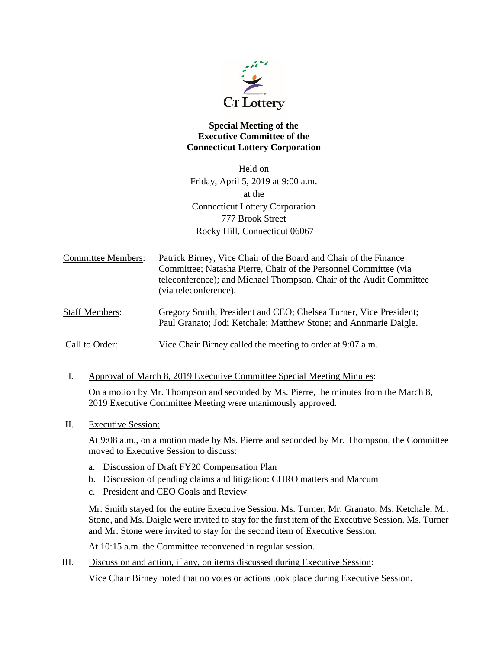

## **Special Meeting of the Executive Committee of the Connecticut Lottery Corporation**

Held on Friday, April 5, 2019 at 9:00 a.m. at the Connecticut Lottery Corporation 777 Brook Street Rocky Hill, Connecticut 06067

| Committee Members: | Patrick Birney, Vice Chair of the Board and Chair of the Finance    |
|--------------------|---------------------------------------------------------------------|
|                    | Committee; Natasha Pierre, Chair of the Personnel Committee (via    |
|                    | teleconference); and Michael Thompson, Chair of the Audit Committee |
|                    | (via teleconference).                                               |
|                    |                                                                     |

Staff Members: Gregory Smith, President and CEO; Chelsea Turner, Vice President; Paul Granato; Jodi Ketchale; Matthew Stone; and Annmarie Daigle.

Call to Order: Vice Chair Birney called the meeting to order at 9:07 a.m.

I. Approval of March 8, 2019 Executive Committee Special Meeting Minutes:

On a motion by Mr. Thompson and seconded by Ms. Pierre, the minutes from the March 8, 2019 Executive Committee Meeting were unanimously approved.

II. Executive Session:

At 9:08 a.m., on a motion made by Ms. Pierre and seconded by Mr. Thompson, the Committee moved to Executive Session to discuss:

- a. Discussion of Draft FY20 Compensation Plan
- b. Discussion of pending claims and litigation: CHRO matters and Marcum
- c. President and CEO Goals and Review

Mr. Smith stayed for the entire Executive Session. Ms. Turner, Mr. Granato, Ms. Ketchale, Mr. Stone, and Ms. Daigle were invited to stay for the first item of the Executive Session. Ms. Turner and Mr. Stone were invited to stay for the second item of Executive Session.

At 10:15 a.m. the Committee reconvened in regular session.

III. Discussion and action, if any, on items discussed during Executive Session:

Vice Chair Birney noted that no votes or actions took place during Executive Session.